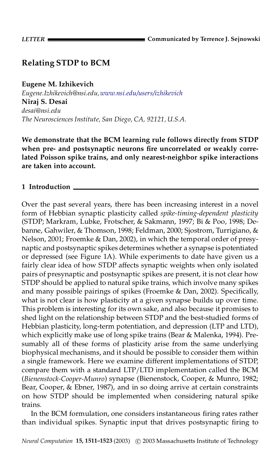# **Relating STDP to BCM**

**Eugene M. Izhikevich**

*Eugene.Izhikevich@nsi.edu,[www.nsi.edu/users/izhikevich](http://www.nsi.edu/users/izhikevich)* **Niraj S. Desai** *desai@nsi.edu The Neurosciences Institute, San Diego, CA, 92121, U.S.A.*

**We demonstrate that the BCM learning rule follows directly from STDP when pre- and postsynaptic neurons re uncorrelated or weakly correlated Poisson spike trains, and only nearest-neighbor spike interactions are taken into account.**

### **1 Introduction**

Over the past several years, there has been increasing interest in a novel form of Hebbian synaptic plasticity called *spike-timing-dependent plasticity* (STDP; Markram, Lubke, Frotscher, & Sakmann, 1997; Bi & Poo, 1998; Debanne, Gahwiler, & Thomson, 1998; Feldman, 2000; Sjostrom, Turrigiano, & Nelson, 2001; Froemke & Dan, 2002), in which the temporal order of presynaptic and postsynaptic spikes determines whether a synapse is potentiated or depressed (see Figure 1A). While experiments to date have given us a fairly clear idea of how STDP affects synaptic weights when only isolated pairs of presynaptic and postsynaptic spikes are present, it is not clear how STDP should be applied to natural spike trains, which involve many spikes and many possible pairings of spikes (Froemke  $&$  Dan, 2002). Specifically, what is not clear is how plasticity at a given synapse builds up over time. This problem is interesting for its own sake, and also because it promises to shed light on the relationship between STDP and the best-studied forms of Hebbian plasticity, long-term potentiation, and depression (LTP and LTD), which explicitly make use of long spike trains (Bear & Malenka, 1994). Presumably all of these forms of plasticity arise from the same underlying biophysical mechanisms, and it should be possible to consider them within a single framework. Here we examine different implementations of STDP, compare them with a standard LTP/LTD implementation called the BCM (*Bienenstock-Cooper-Munro*) synapse (Bienenstock, Cooper, & Munro, 1982; Bear, Cooper, & Ebner, 1987), and in so doing arrive at certain constraints on how STDP should be implemented when considering natural spike trains.

In the BCM formulation, one considers instantaneous firing rates rather than individual spikes. Synaptic input that drives postsynaptic firing to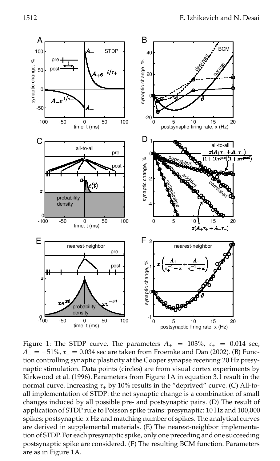

Figure 1: The STDP curve. The parameters  $A_+ = 103\%$ ,  $\tau_+ = 0.014$  sec,  $A_{-} = -51\%$ ,  $\tau_{-} = 0.034$  sec are taken from Froemke and Dan (2002). (B) Function controlling synaptic plasticity at the Cooper synapse receiving 20 Hz presynaptic stimulation. Data points (circles) are from visual cortex experiments by Kirkwood et al. (1996). Parameters from Figure 1A in equation 3.1 result in the normal curve. Increasing  $\tau_{+}$  by 10% results in the "deprived" curve. (C) All-toall implementation of STDP: the net synaptic change is a combination of small changes induced by all possible pre- and postsynaptic pairs. (D) The result of application of STDP rule to Poisson spike trains: presynaptic: 10 Hz and 100,000 spikes; postsynaptic: *x* Hz and matching number of spikes. The analytical curves are derived in supplemental materials. (E) The nearest-neighbor implementation of STDP. For each presynaptic spike, only one preceding andone succeeding postsynaptic spike are considered. (F) The resulting BCM function. Parameters are as in Figure 1A.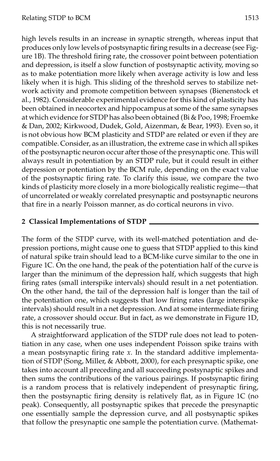high levels results in an increase in synaptic strength, whereas input that produces only low levels of postsynaptic firing results in a decrease (see Figure 1B). The threshold firing rate, the crossover point between potentiation and depression, is itself a slow function of postsynaptic activity, moving so as to make potentiation more likely when average activity is low and less likely when it is high. This sliding of the threshold serves to stabilize network activity and promote competition between synapses (Bienenstock et al., 1982). Considerable experimental evidence for this kind of plasticity has been obtained in neocortex and hippocampus at some of the same synapses at which evidence for STDP has also been obtained (Bi & Poo, 1998; Froemke & Dan, 2002; Kirkwood, Dudek, Gold, Aizenman, & Bear, 1993). Even so, it is not obvious how BCM plasticity and STDP are related or even if they are compatible. Consider, as an illustration, the extreme case in which all spikes of the postsynaptic neuron occur after those of the presynaptic one. This will always result in potentiation by an STDP rule, but it could result in either depression or potentiation by the BCM rule, depending on the exact value of the postsynaptic firing rate. To clarify this issue, we compare the two kinds of plasticity more closely in a more biologically realistic regime—that of uncorrelated or weakly correlated presynaptic and postsynaptic neurons that fire in a nearly Poisson manner, as do cortical neurons in vivo.

## **2 Classical Implementations of STDP**

The form of the STDP curve, with its well-matched potentiation and depression portions, might cause one to guess that STDP applied to this kind of natural spike train should lead to a BCM-like curve similar to the one in Figure 1C. On the one hand, the peak of the potentiation half of the curve is larger than the minimum of the depression half, which suggests that high firing rates (small interspike intervals) should result in a net potentiation. On the other hand, the tail of the depression half is longer than the tail of the potentiation one, which suggests that low firing rates (large interspike intervals) should result in a net depression. And at some intermediate firing rate, a crossover should occur. But in fact, as we demonstrate in Figure 1D, this is not necessarily true.

A straightforward application of the STDP rule does not lead to potentiation in any case, when one uses independent Poisson spike trains with a mean postsynaptic firing rate  $x$ . In the standard additive implementation of STDP (Song, Miller, & Abbott, 2000), for each presynaptic spike, one takes into account all preceding and all succeeding postsynaptic spikes and then sums the contributions of the various pairings. If postsynaptic firing is a random process that is relatively independent of presynaptic firing, then the postsynaptic firing density is relatively flat, as in Figure 1C (no peak). Consequently, all postsynaptic spikes that precede the presynaptic one essentially sample the depression curve, and all postsynaptic spikes that follow the presynaptic one sample the potentiation curve. (Mathemat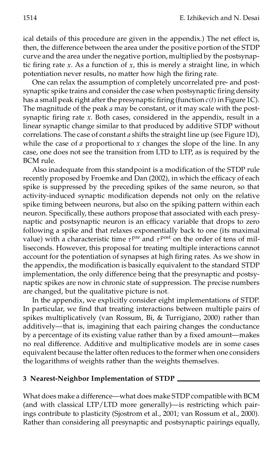ical details of this procedure are given in the appendix.) The net effect is, then, the difference between the area under the positive portion of the STDP curve and the area under the negative portion, multiplied by the postsynaptic firing rate  $x$ . As a function of  $x$ , this is merely a straight line, in which potentiation never results, no matter how high the firing rate.

One can relax the assumption of completely uncorrelated pre- and postsynaptic spike trains and consider the case when postsynaptic firing density has a small peak right after the presynaptic firing (function  $c(t)$  in Figure 1C). The magnitude of the peak *a* may be constant, or it may scale with the postsynaptic firing rate *x*. Both cases, considered in the appendix, result in a linear synaptic change similar to that produced by additive STDP without correlations. The case of constant *a* shifts the straight line up (see Figure 1D), while the case of  $a$  proportional to  $x$  changes the slope of the line. In any case, one does not see the transition from LTD to LTP, as is required by the BCM rule.

Also inadequate from this standpoint is a modification of the STDP rule recently proposed by Froemke and Dan (2002), in which the efficacy of each spike is suppressed by the preceding spikes of the same neuron, so that activity-induced synaptic modification depends not only on the relative spike timing between neurons, but also on the spiking pattern within each neuron. Specifically, these authors propose that associated with each presynaptic and postsynaptic neuron is an efficacy variable that drops to zero following a spike and that relaxes exponentially back to one (its maximal value) with a characteristic time  $\tau^{\text{pre}}$  and  $\tau^{\text{post}}$  on the order of tens of milliseconds. However, this proposal for treating multiple interactions cannot account for the potentiation of synapses at high firing rates. As we show in the appendix, the modification is basically equivalent to the standard STDP implementation, the only difference being that the presynaptic and postsynaptic spikes are now in chronic state of suppression. The precise numbers are changed, but the qualitative picture is not.

In the appendix, we explicitly consider eight implementations of STDP. In particular, we find that treating interactions between multiple pairs of spikes multiplicatively (van Rossum, Bi, & Turrigiano, 2000) rather than additively—that is, imagining that each pairing changes the conductance by a percentage of its existing value rather than by a fixed amount—makes no real difference. Additive and multiplicative models are in some cases equivalent because the latter often reduces to the former when one considers the logarithms of weights rather than the weights themselves.

#### **3 Nearest-Neighbor Implementation of STDP**

What does make a difference—what does make STDP compatible with BCM (and with classical LTP/LTD more generally)—is restricting which pairings contribute to plasticity (Sjostrom et al., 2001; van Rossum et al., 2000). Rather than considering all presynaptic and postsynaptic pairings equally,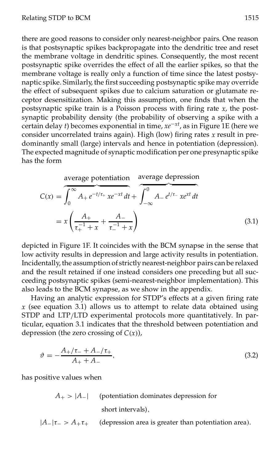there are good reasons to consider only nearest-neighbor pairs. One reason is that postsynaptic spikes backpropagate into the dendritic tree and reset the membrane voltage in dendritic spines. Consequently, the most recent postsynaptic spike overrides the effect of all the earlier spikes, so that the membrane voltage is really only a function of time since the latest postsynaptic spike. Similarly, the first succeeding postsynaptic spike may override the effect of subsequent spikes due to calcium saturation or glutamate receptor desensitization. Making this assumption, one finds that when the postsynaptic spike train is a Poisson process with firing rate  $x$ , the postsynaptic probability density (the probability of observing a spike with a certain delay *t*) becomes exponential in time,  $xe^{-xt}$ , as in Figure 1E (here we consider uncorrelated trains again). High (low) firing rates  $x$  result in predominantly small (large) intervals and hence in potentiation (depression). The expected magnitude of synaptic modification per one presynaptic spike has the form

$$
C(x) = \overbrace{\int_0^\infty A_+ e^{-t/\tau_+} x e^{-xt} dt}_{\tau_+ + x} + \overbrace{\int_{-\infty}^0 A_- e^{t/\tau_-} x e^{xt} dt}_{\tau_- + x} \tag{3.1}
$$

depicted in Figure 1F. It coincides with the BCM synapse in the sense that low activity results in depression and large activity results in potentiation. Incidentally, the assumption of strictly nearest-neighbor pairs can be relaxed and the result retained if one instead considers one preceding but all succeeding postsynaptic spikes (semi-nearest-neighbor implementation). This also leads to the BCM synapse, as we show in the appendix.

Having an analytic expression for STDP's effects at a given firing rate  $x$  (see equation 3.1) allows us to attempt to relate data obtained using STDP and LTP/LTD experimental protocols more quantitatively. In particular, equation 3.1 indicates that the threshold between potentiation and depression (the zero crossing of  $C(x)$ ),

$$
\vartheta = -\frac{A_{+}/\tau_{-} + A_{-}/\tau_{+}}{A_{+} + A_{-}},\tag{3.2}
$$

has positive values when

- $A_+$  >  $|A_-|$  (potentiation dominates depression for short intervals);
- $|A_{-}|\tau_{-} > A_{+}\tau_{+}$  (depression area is greater than potentiation area).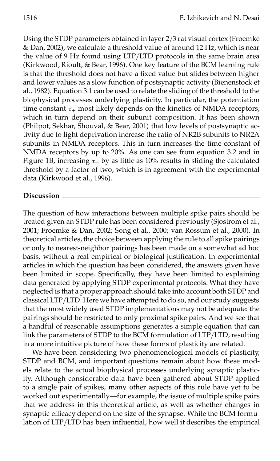Using the STDP parameters obtained in layer 2/3 rat visual cortex (Froemke & Dan, 2002), we calculate a threshold value of around 12 Hz, which is near the value of 9 Hz found using LTP/LTD protocols in the same brain area (Kirkwood, Rioult, & Bear, 1996). One key feature of the BCM learning rule is that the threshold does not have a fixed value but slides between higher and lower values as a slow function of postsynaptic activity (Bienenstock et al., 1982). Equation 3.1 can be used to relate the sliding of the threshold to the biophysical processes underlying plasticity. In particular, the potentiation time constant  $\tau_{+}$  most likely depends on the kinetics of NMDA receptors, which in turn depend on their subunit composition. It has been shown (Philpot, Sekhar, Shouval, & Bear, 2001) that low levels of postsynaptic activity due to light deprivation increase the ratio of NR2B subunits to NR2A subunits in NMDA receptors. This in turn increases the time constant of NMDA receptors by up to 20%. As one can see from equation 3.2 and in Figure 1B, increasing  $\tau_{+}$  by as little as 10% results in sliding the calculated threshold by a factor of two, which is in agreement with the experimental data (Kirkwood et al., 1996).

#### **Discussion**

The question of how interactions between multiple spike pairs should be treated given an STDP rule has been considered previously (Sjostrom et al., 2001; Froemke & Dan, 2002; Song et al., 2000; van Rossum et al., 2000). In theoretical articles, the choice between applying the rule to all spike pairings or only to nearest-neighbor pairings has been made on a somewhat ad hoc basis, without a real empirical or biological justification. In experimental articles in which the question has been considered, the answers given have been limited in scope. Specifically, they have been limited to explaining data generated by applying STDP experimental protocols. What they have neglected is that a proper approach should take into account both STDP and classical LTP/LTD. Here we have attempted to do so, and our study suggests that the most widely used STDP implementations may not be adequate: the pairings should be restricted to only proximal spike pairs. And we see that a handful of reasonable assumptions generates a simple equation that can link the parameters of STDP to the BCM formulation of  $LTP/LTD$ , resulting in a more intuitive picture of how these forms of plasticity are related.

We have been considering two phenomenological models of plasticity, STDP and BCM, and important questions remain about how these models relate to the actual biophysical processes underlying synaptic plasticity. Although considerable data have been gathered about STDP applied to a single pair of spikes, many other aspects of this rule have yet to be worked out experimentally—for example, the issue of multiple spike pairs that we address in this theoretical article, as well as whether changes in synaptic efficacy depend on the size of the synapse. While the BCM formulation of LTP/LTD has been influential, how well it describes the empirical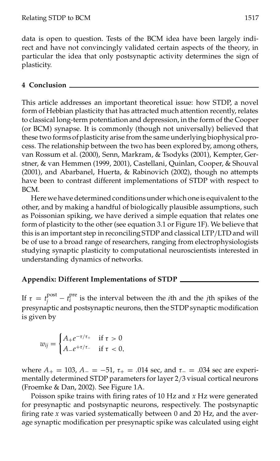data is open to question. Tests of the BCM idea have been largely indirect and have not convincingly validated certain aspects of the theory, in particular the idea that only postsynaptic activity determines the sign of plasticity.

## **4 Conclusion**

This article addresses an important theoretical issue: how STDP, a novel form of Hebbian plasticity that has attracted much attention recently, relates to classical long-term potentiation and depression, in the form of the Cooper (or BCM) synapse. It is commonly (though not universally) believed that these two forms of plasticity arise from the same underlying biophysical process. The relationship between the two has been explored by, among others, van Rossum et al. (2000), Senn, Markram, & Tsodyks (2001), Kempter, Gerstner, & van Hemmen (1999, 2001), Castellani, Quinlan, Cooper, & Shouval (2001), and Abarbanel, Huerta, & Rabinovich (2002), though no attempts have been to contrast different implementations of STDP with respect to BCM.

Here we have determined conditions under which one is equivalent to the other, and by making a handful of biologically plausible assumptions, such as Poissonian spiking, we have derived a simple equation that relates one form of plasticity to the other (see equation 3.1 or Figure 1F). We believe that this is an important step in reconciling STDP and classical LTP/LTD and will be of use to a broad range of researchers, ranging from electrophysiologists studying synaptic plasticity to computational neuroscientists interested in understanding dynamics of networks.

## **Appendix: Different Implementations of STDP**

If  $\tau = t_j^{\text{post}} - t_i^{\text{pre}}$  is the interval between the *i*th and the *j*th spikes of the presynaptic and postsynaptic neurons, then the STDP synaptic modification is given by

$$
w_{ij} = \begin{cases} A_+e^{-\tau/\tau_+} & \text{if } \tau > 0\\ A_-e^{+\tau/\tau_-} & \text{if } \tau < 0, \end{cases}
$$

where  $A_+ = 103$ ,  $A_- = -51$ ,  $\tau_+ = .014$  sec, and  $\tau_- = .034$  sec are experimentally determined STDP parameters for layer 2/3 visual cortical neurons (Froemke & Dan, 2002). See Figure 1A.

Poisson spike trains with firing rates of 10 Hz and  $x$  Hz were generated for presynaptic and postsynaptic neurons, respectively. The postsynaptic ring rate *x* was varied systematically between 0 and 20 Hz, and the average synaptic modification per presynaptic spike was calculated using eight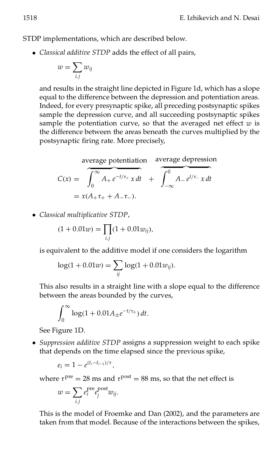STDP implementations, which are described below.

² *Classical additive STDP* adds the effect of all pairs,

$$
w=\sum_{i,j}w_{ij}
$$

and results in the straight line depicted in Figure 1d, which has a slope equal to the difference between the depression and potentiation areas. Indeed, for every presynaptic spike, all preceding postsynaptic spikes sample the depression curve, and all succeeding postsynaptic spikes sample the potentiation curve, so that the averaged net effect  $w$  is the difference between the areas beneath the curves multiplied by the postsynaptic firing rate. More precisely,

| average potentiation                                                                            | average depression |
|-------------------------------------------------------------------------------------------------|--------------------|
| $C(x) = \int_0^{\infty} A_+ e^{-t/\tau_+} x dt + \int_{-\infty}^{\infty} A_- e^{t/\tau_-} x dt$ |                    |
| $= x(A_{+}\tau_{+} + A_{-}\tau_{-}).$                                                           |                    |

² *Classical multiplicative STDP*,

$$
(1+0.01w) = \prod_{i,j} (1+0.01w_{ij}),
$$

is equivalent to the additive model if one considers the logarithm

$$
\log(1 + 0.01w) = \sum_{ij} \log(1 + 0.01w_{ij}).
$$

This also results in a straight line with a slope equal to the difference between the areas bounded by the curves,

$$
\int_0^\infty \log(1 + 0.01 A_{\pm} e^{-t/\tau_{\pm}}) dt.
$$

See Figure 1D.

² *Suppression additive STDP* assigns a suppression weight to each spike that depends on the time elapsed since the previous spike,

$$
e_i=1-e^{(t_i-t_{i-1})/\tau},
$$

where  $\tau^{\text{pre}} = 28 \text{ ms}$  and  $\tau^{\text{post}} = 88 \text{ ms}$ , so that the net effect is

$$
w = \sum_{i,j} e_i^{\text{pre}} e_j^{\text{post}} w_{ij}.
$$

This is the model of Froemke and Dan (2002), and the parameters are taken from that model. Because of the interactions between the spikes,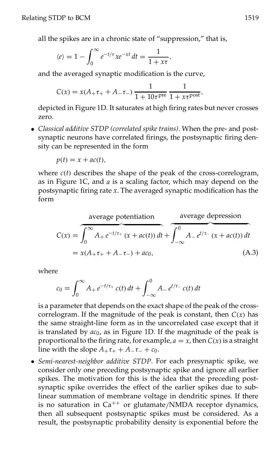all the spikes are in a chronic state of "suppression," that is,

$$
\langle e \rangle = 1 - \int_0^\infty e^{-t/\tau} x e^{-xt} dt = \frac{1}{1 + x\tau},
$$

and the averaged synaptic modification is the curve,

$$
C(x) = x(A_{+}\tau_{+} + A_{-}\tau_{-}) \frac{1}{1 + 10\tau^{\text{pre}}} \frac{1}{1 + x\tau^{\text{post}}},
$$

depicted in Figure 1D. It saturates at high firing rates but never crosses zero.

² *Classical additive STDP (correlated spike trains)*. When the pre- and postsynaptic neurons have correlated firings, the postsynaptic firing density can be represented in the form

$$
p(t) = x + ac(t),
$$

where  $c(t)$  describes the shape of the peak of the cross-correlogram, as in Figure 1C, and *a* is a scaling factor, which may depend on the postsynaptic firing rate  $x$ . The averaged synaptic modification has the form

$$
C(x) = \int_0^\infty A_+ e^{-t/\tau_+} (x + ac(t)) dt + \int_{-\infty}^0 A_- e^{t/\tau_-} (x + ac(t)) dt
$$
  
=  $x(A_+ \tau_+ + A_- \tau_-) + ac_0,$  (A.3)

where

$$
c_0 = \int_0^\infty A_+ e^{-t/\tau_+} c(t) dt + \int_{-\infty}^0 A_- e^{t/\tau_-} c(t) dt
$$

is a parameter that depends on the exact shape of the peak of the crosscorrelogram. If the magnitude of the peak is constant, then  $C(x)$  has the same straight-line form as in the uncorrelated case except that it is translated by *ac*0, as in Figure 1D. If the magnitude of the peak is proportional to the firing rate, for example,  $a = x$ , then  $C(x)$  is a straight line with the slope  $A_+\tau_+ + A_-\tau_- + c_0$ .

² *Semi-nearest-neighbor additive STDP*. For each presynaptic spike, we consider only one preceding postsynaptic spike and ignore all earlier spikes. The motivation for this is the idea that the preceding postsynaptic spike overrides the effect of the earlier spikes due to sublinear summation of membrane voltage in dendritic spines. If there is no saturation in  $Ca^{++}$  or glutamate/NMDA receptor dynamics, then all subsequent postsynaptic spikes must be considered. As a result, the postsynaptic probability density is exponential before the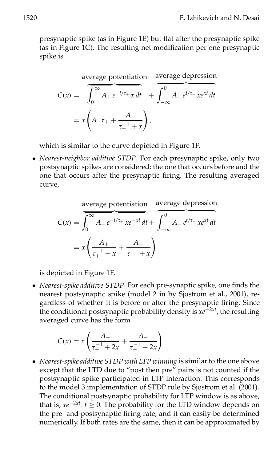presynaptic spike (as in Figure 1E) but flat after the presynaptic spike (as in Figure 1C). The resulting net modification per one presynaptic spike is

average potentiation average depression  
\n
$$
C(x) = \int_0^\infty A_+ e^{-t/\tau_+} x dt + \int_{-\infty}^0 A_- e^{t/\tau_-} x e^{xt} dt
$$
\n
$$
= x \left( A_+ \tau_+ + \frac{A_-}{\tau_-^{-1} + x} \right),
$$

which is similar to the curve depicted in Figure 1F.

² *Nearest-neighbor additive STDP*. For each presynaptic spike, only two postsynaptic spikes are considered: the one that occurs before and the one that occurs after the presynaptic firing. The resulting averaged curve,

$$
C(x) = \overbrace{\int_0^\infty A_+ e^{-t/\tau_+} x e^{-xt} dt}_{\tau_+ + \tau_- + \tau_+ + \tau_-}^{\tau_- + \tau_+ + \tau_-} + \overbrace{\int_{-\infty}^0 A_- e^{t/\tau_-} x e^{xt} dt}_{\tau_- + \tau_+ + \tau_-}^{\tau_- + \tau_+ + \tau_-}
$$

is depicted in Figure 1F.

• *Nearest-spike additive STDP*. For each pre-synaptic spike, one finds the nearest postsynaptic spike (model 2 in by Sjostrom et al., 2001), regardless of whether it is before or after the presynaptic firing. Since the conditional postsynaptic probability density is  $xe^{\pm 2xt}$ , the resulting averaged curve has the form

:

$$
C(x) = x \left( \frac{A_+}{\tau_+^{-1} + 2x} + \frac{A_-}{\tau_-^{-1} + 2x} \right) \, .
$$

² *Nearest-spike additive STDP with LTP winning* is similarto the one above except that the LTD due to "post then pre" pairs is not counted if the postsynaptic spike participated in LTP interaction. This corresponds to the model 3 implementation of STDP rule by Sjostrom et al. (2001). The conditional postsynaptic probability for LTP window is as above, that is,  $xe^{-2xt}$ ,  $t \ge 0$ . The probability for the LTD window depends on the pre- and postsynaptic firing rate, and it can easily be determined numerically. If both rates are the same, then it can be approximated by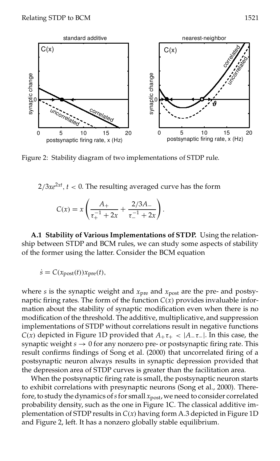

Figure 2: Stability diagram of two implementations of STDP rule.

 $2/3xe^{2xt}$ ,  $t < 0$ . The resulting averaged curve has the form

$$
C(x) = x \left( \frac{A_+}{\tau_+^{-1} + 2x} + \frac{2/3A_-}{\tau_-^{-1} + 2x} \right).
$$

**A.1 Stability of Various Implementations of STDP.** Using the relationship between STDP and BCM rules, we can study some aspects of stability of the former using the latter. Consider the BCM equation

$$
\dot{s} = C(x_{\text{post}}(t))x_{\text{pre}}(t),
$$

where  $s$  is the synaptic weight and  $x_{pre}$  and  $x_{post}$  are the pre- and postsynaptic firing rates. The form of the function  $C(x)$  provides invaluable information about the stability of synaptic modification even when there is no modification of the threshold. The additive, multiplicative, and suppression implementations of STDP without correlations result in negative functions *C*(*x*) depicted in Figure 1D provided that  $A_+\tau_+ < |A_-\tau_-|$ . In this case, the synaptic weight  $s \to 0$  for any nonzero pre- or postsynaptic firing rate. This result confirms findings of Song et al. (2000) that uncorrelated firing of a postsynaptic neuron always results in synaptic depression provided that the depression area of STDP curves is greater than the facilitation area.

When the postsynaptic firing rate is small, the postsynaptic neuron starts to exhibit correlations with presynaptic neurons (Song et al., 2000). Therefore, to study the dynamics of *s* for small  $x_{\text{post}}$ , we need to consider correlated probability density, such as the one in Figure 1C. The classical additive implementation of STDP results in  $C(x)$  having form A.3 depicted in Figure 1D and Figure 2, left. It has a nonzero globally stable equilibrium.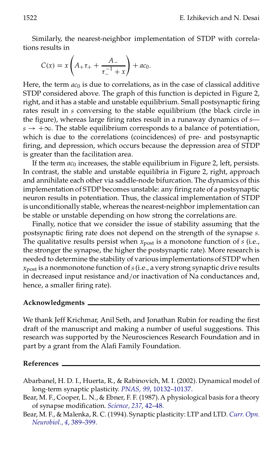Similarly, the nearest-neighbor implementation of STDP with correlations results in

$$
C(x) = x \left( A_+ \tau_+ + \frac{A_-}{\tau_-^{-1} + x} \right) + ac_0.
$$

Here, the term  $ac_0$  is due to correlations, as in the case of classical additive STDP considered above. The graph of this function is depicted in Figure 2, right, and it has a stable and unstable equilibrium. Small postsynaptic firing rates result in *s* conversing to the stable equilibrium (the black circle in the figure), whereas large firing rates result in a runaway dynamics of  $s$   $s \rightarrow +\infty$ . The stable equilibrium corresponds to a balance of potentiation, which is due to the correlations (coincidences) of pre- and postsynaptic firing, and depression, which occurs because the depression area of STDP is greater than the facilitation area.

If the term  $ac_0$  increases, the stable equilibrium in Figure 2, left, persists. In contrast, the stable and unstable equilibria in Figure 2, right, approach and annihilate each other via saddle-node bifurcation. The dynamics of this implementation of STDP becomes unstable: any firing rate of a postsynaptic neuron results in potentiation. Thus, the classical implementation of STDP is unconditionally stable, whereas the nearest-neighbor implementation can be stable or unstable depending on how strong the correlations are.

Finally, notice that we consider the issue of stability assuming that the postsynaptic firing rate does not depend on the strength of the synapse *s*. The qualitative results persist when  $x_{\text{post}}$  is a monotone function of *s* (i.e., the stronger the synapse, the higher the postsynaptic rate). More research is needed to determine the stability of various implementations of STDP when *x*post is a nonmonotone function of*s*(i.e., a very strong synaptic drive results in decreased input resistance and/or inactivation of Na conductances and, hence, a smaller firing rate).

#### **Acknowledgments**

We thank Jeff Krichmar, Anil Seth, and Jonathan Rubin for reading the first draft of the manuscript and making a number of useful suggestions. This research was supported by the Neurosciences Research Foundation and in part by a grant from the Alafi Family Foundation.

#### **References**

- Abarbanel, H. D. I., Huerta, R., & Rabinovich, M. I. (2002). Dynamical model of long-term synaptic plasticity. *PNAS, 99*, [10132–10137.](http://rudolfo.ingentaselect.com/nw=1/rpsv/cgi-bin/linker?ext=a&reqidx=/0027-8424^28^2999L.10132[aid=4951385])
- Bear, M. F., Cooper, L. N., & Ebner, F. F. (1987). A physiological basis for a theory of synapse modification. *Science*, 237, 42-48.

Bear, M. F., & Malenka, R. C. (1994). Synaptic plasticity: LTP and LTD. *[Curr.](http://rudolfo.ingentaselect.com/nw=1/rpsv/cgi-bin/linker?ext=a&reqidx=/0959-4388^28^294L.389[aid=1192811]) Opn. [Neurobiol.,](http://rudolfo.ingentaselect.com/nw=1/rpsv/cgi-bin/linker?ext=a&reqidx=/0959-4388^28^294L.389[aid=1192811]) 4*, 389–399.